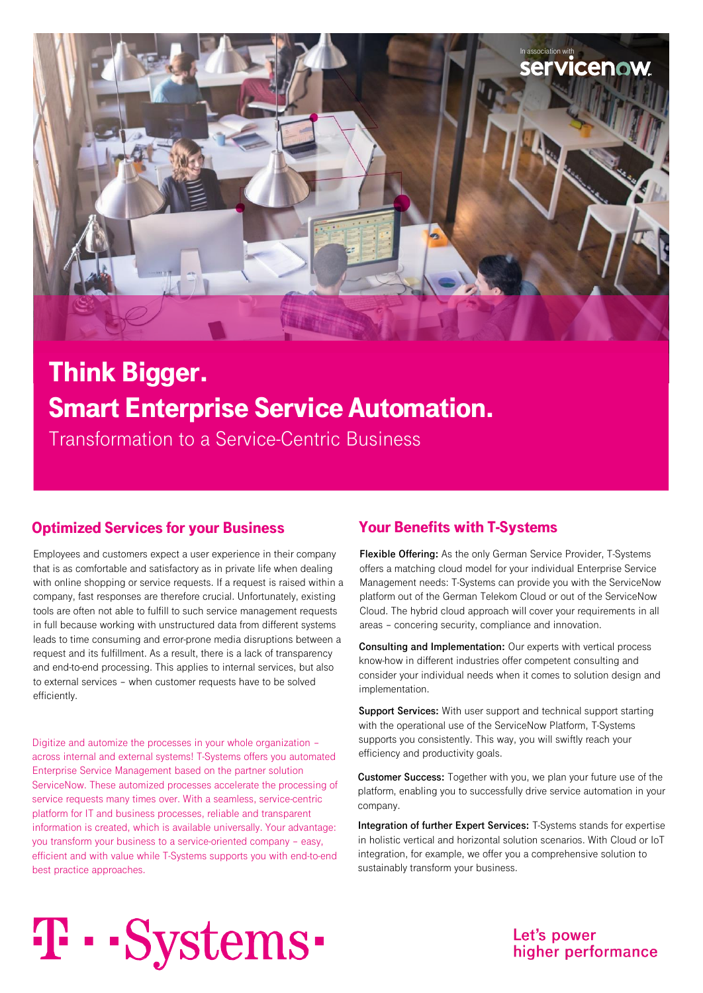

# Think Bigger. Smart Enterprise Service Automation.

Transformation to a Service-Centric Business

### Optimized Services for your Business Your Benefits with T-Systems

Employees and customers expect a user experience in their company that is as comfortable and satisfactory as in private life when dealing with online shopping or service requests. If a request is raised within a company, fast responses are therefore crucial. Unfortunately, existing tools are often not able to fulfill to such service management requests in full because working with unstructured data from different systems leads to time consuming and error-prone media disruptions between a request and its fulfillment. As a result, there is a lack of transparency and end-to-end processing. This applies to internal services, but also to external services – when customer requests have to be solved efficiently.

Digitize and automize the processes in your whole organization – across internal and external systems! T-Systems offers you automated Enterprise Service Management based on the partner solution ServiceNow. These automized processes accelerate the processing of service requests many times over. With a seamless, service-centric platform for IT and business processes, reliable and transparent information is created, which is available universally. Your advantage: you transform your business to a service-oriented company – easy, efficient and with value while T-Systems supports you with end-to-end best practice approaches.

**Flexible Offering:** As the only German Service Provider, T-Systems offers a matching cloud model for your individual Enterprise Service Management needs: T-Systems can provide you with the ServiceNow platform out of the German Telekom Cloud or out of the ServiceNow Cloud. The hybrid cloud approach will cover your requirements in all areas – concering security, compliance and innovation.

**Consulting and Implementation:** Our experts with vertical process know-how in different industries offer competent consulting and consider your individual needs when it comes to solution design and implementation.

**Support Services:** With user support and technical support starting with the operational use of the ServiceNow Platform, T-Systems supports you consistently. This way, you will swiftly reach your efficiency and productivity goals.

**Customer Success:** Together with you, we plan your future use of the platform, enabling you to successfully drive service automation in your company.

**Integration of further Expert Services:** T-Systems stands for expertise in holistic vertical and horizontal solution scenarios. With Cloud or IoT integration, for example, we offer you a comprehensive solution to sustainably transform your business.

# T · · Systems ·

#### Let's power higher performance